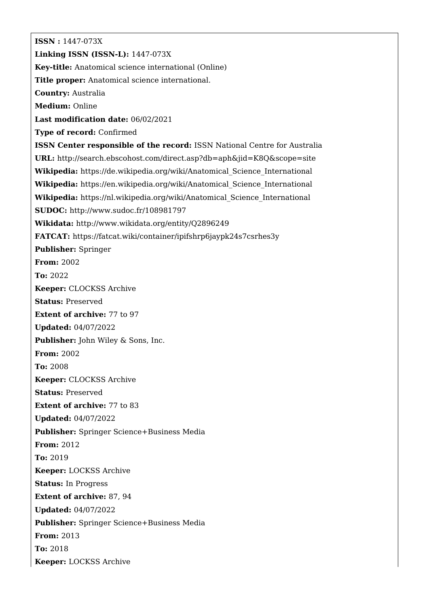**ISSN :** 1447-073X **Linking ISSN (ISSN-L):** 1447-073X **Key-title:** Anatomical science international (Online) **Title proper:** Anatomical science international. **Country:** Australia **Medium:** Online **Last modification date:** 06/02/2021 **Type of record:** Confirmed **ISSN Center responsible of the record:** ISSN National Centre for Australia **URL:** <http://search.ebscohost.com/direct.asp?db=aph&jid=K8Q&scope=site> **Wikipedia:** [https://de.wikipedia.org/wiki/Anatomical\\_Science\\_International](https://de.wikipedia.org/wiki/Anatomical_Science_International) **Wikipedia:** [https://en.wikipedia.org/wiki/Anatomical\\_Science\\_International](https://en.wikipedia.org/wiki/Anatomical_Science_International) **Wikipedia:** [https://nl.wikipedia.org/wiki/Anatomical\\_Science\\_International](https://nl.wikipedia.org/wiki/Anatomical_Science_International) **SUDOC:** <http://www.sudoc.fr/108981797> **Wikidata:** <http://www.wikidata.org/entity/Q2896249> **FATCAT:** <https://fatcat.wiki/container/ipifshrp6jaypk24s7csrhes3y> **Publisher:** Springer **From:** 2002 **To:** 2022 **Keeper:** CLOCKSS Archive **Status:** Preserved **Extent of archive:** 77 to 97 **Updated:** 04/07/2022 **Publisher:** John Wiley & Sons, Inc. **From:** 2002 **To:** 2008 **Keeper:** CLOCKSS Archive **Status:** Preserved **Extent of archive:** 77 to 83 **Updated:** 04/07/2022 **Publisher:** Springer Science+Business Media **From:** 2012 **To:** 2019 **Keeper:** LOCKSS Archive **Status:** In Progress **Extent of archive:** 87, 94 **Updated:** 04/07/2022 **Publisher:** Springer Science+Business Media **From:** 2013 **To:** 2018 **Keeper:** LOCKSS Archive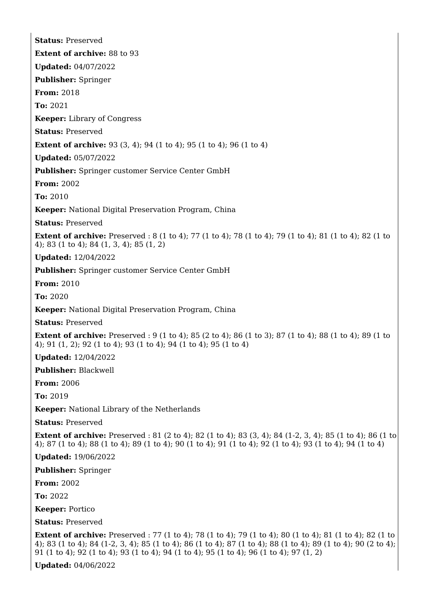**Status:** Preserved **Extent of archive:** 88 to 93 **Updated:** 04/07/2022 **Publisher:** Springer **From:** 2018 **To:** 2021 **Keeper:** Library of Congress **Status:** Preserved **Extent of archive:** 93 (3, 4); 94 (1 to 4); 95 (1 to 4); 96 (1 to 4) **Updated:** 05/07/2022 **Publisher:** Springer customer Service Center GmbH **From:** 2002 **To:** 2010 **Keeper:** National Digital Preservation Program, China **Status:** Preserved **Extent of archive:** Preserved : 8 (1 to 4); 77 (1 to 4); 78 (1 to 4); 79 (1 to 4); 81 (1 to 4); 82 (1 to 4); 83 (1 to 4); 84 (1, 3, 4); 85 (1, 2) **Updated:** 12/04/2022 **Publisher:** Springer customer Service Center GmbH **From:** 2010 **To:** 2020 **Keeper:** National Digital Preservation Program, China **Status:** Preserved **Extent of archive:** Preserved : 9 (1 to 4); 85 (2 to 4); 86 (1 to 3); 87 (1 to 4); 88 (1 to 4); 89 (1 to 4); 91 (1, 2); 92 (1 to 4); 93 (1 to 4); 94 (1 to 4); 95 (1 to 4) **Updated:** 12/04/2022 **Publisher:** Blackwell **From:** 2006 **To:** 2019 **Keeper:** National Library of the Netherlands **Status:** Preserved **Extent of archive:** Preserved : 81 (2 to 4); 82 (1 to 4); 83 (3, 4); 84 (1-2, 3, 4); 85 (1 to 4); 86 (1 to 4); 87 (1 to 4); 88 (1 to 4); 89 (1 to 4); 90 (1 to 4); 91 (1 to 4); 92 (1 to 4); 93 (1 to 4); 94 (1 to 4) **Updated:** 19/06/2022 **Publisher:** Springer **From:** 2002 **To:** 2022 **Keeper:** Portico **Status:** Preserved **Extent of archive:** Preserved : 77 (1 to 4); 78 (1 to 4); 79 (1 to 4); 80 (1 to 4); 81 (1 to 4); 82 (1 to 4); 83 (1 to 4); 84 (1-2, 3, 4); 85 (1 to 4); 86 (1 to 4); 87 (1 to 4); 88 (1 to 4); 89 (1 to 4); 90 (2 to 4); 91 (1 to 4); 92 (1 to 4); 93 (1 to 4); 94 (1 to 4); 95 (1 to 4); 96 (1 to 4); 97 (1, 2)

**Updated:** 04/06/2022